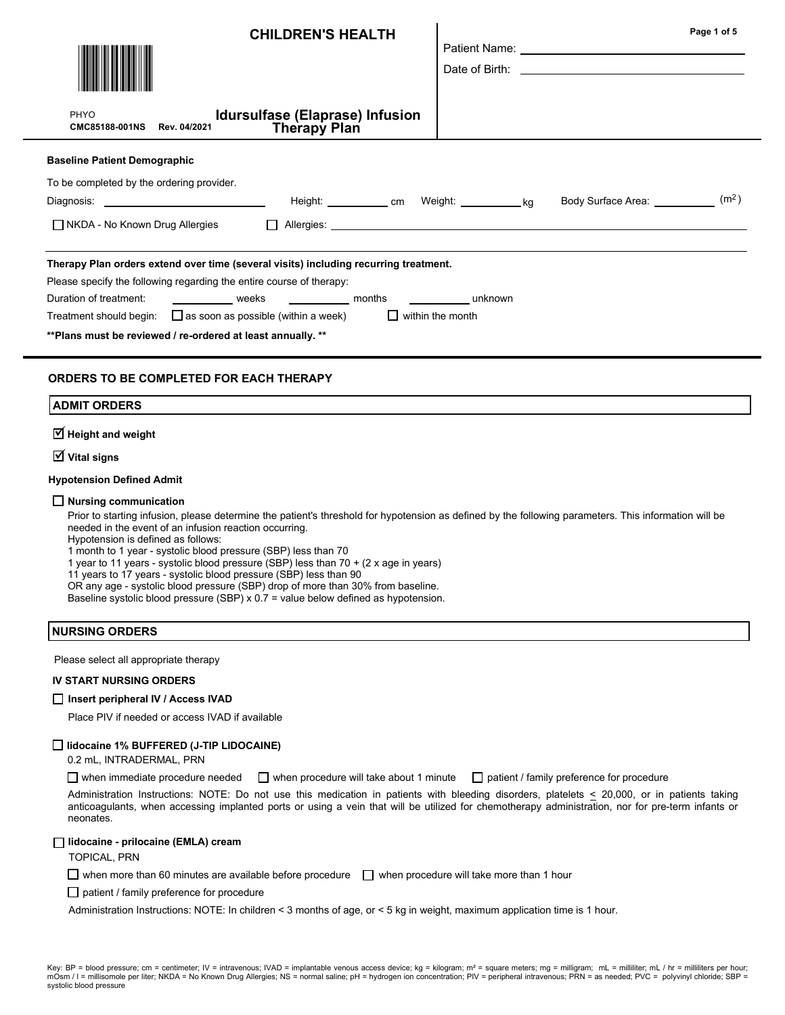| PHYO<br><b>CMC85188-001NS</b><br>Rev. 04/2021                                                                                                                  | <b>CHILDREN'S HEALTH</b><br>Idursulfase (Elaprase) Infusion<br><b>Therapy Plan</b>                                                                                                                                                                                                                                                                                                                                                                                                                                                                                   |                                    | Page 1 of 5                                        |
|----------------------------------------------------------------------------------------------------------------------------------------------------------------|----------------------------------------------------------------------------------------------------------------------------------------------------------------------------------------------------------------------------------------------------------------------------------------------------------------------------------------------------------------------------------------------------------------------------------------------------------------------------------------------------------------------------------------------------------------------|------------------------------------|----------------------------------------------------|
| <b>Baseline Patient Demographic</b>                                                                                                                            |                                                                                                                                                                                                                                                                                                                                                                                                                                                                                                                                                                      |                                    |                                                    |
| To be completed by the ordering provider.<br>∐ NKDA - No Known Drug Allergies                                                                                  |                                                                                                                                                                                                                                                                                                                                                                                                                                                                                                                                                                      |                                    | (m <sup>2</sup> )<br>Body Surface Area: __________ |
| Please specify the following regarding the entire course of therapy:<br>Duration of treatment:<br>** Plans must be reviewed / re-ordered at least annually. ** | Therapy Plan orders extend over time (several visits) including recurring treatment.<br>weeks __________ weeks ____________ months<br>Treatment should begin: $\square$ as soon as possible (within a week)                                                                                                                                                                                                                                                                                                                                                          | unknown<br>$\Box$ within the month |                                                    |
| ORDERS TO BE COMPLETED FOR EACH THERAPY<br><b>ADMIT ORDERS</b>                                                                                                 |                                                                                                                                                                                                                                                                                                                                                                                                                                                                                                                                                                      |                                    |                                                    |
| $\overline{\mathbf{y}}$ Height and weight                                                                                                                      |                                                                                                                                                                                                                                                                                                                                                                                                                                                                                                                                                                      |                                    |                                                    |
| $\overline{\mathsf{M}}$ Vital signs                                                                                                                            |                                                                                                                                                                                                                                                                                                                                                                                                                                                                                                                                                                      |                                    |                                                    |
| <b>Hypotension Defined Admit</b>                                                                                                                               |                                                                                                                                                                                                                                                                                                                                                                                                                                                                                                                                                                      |                                    |                                                    |
| $\Box$ Nursing communication<br>needed in the event of an infusion reaction occurring.<br>Hypotension is defined as follows:                                   | Prior to starting infusion, please determine the patient's threshold for hypotension as defined by the following parameters. This information will be<br>1 month to 1 year - systolic blood pressure (SBP) less than 70<br>1 year to 11 years - systolic blood pressure (SBP) less than 70 + (2 x age in years)<br>11 years to 17 years - systolic blood pressure (SBP) less than 90<br>OR any age - systolic blood pressure (SBP) drop of more than 30% from baseline.<br>Baseline systolic blood pressure $(SBP) \times 0.7 =$ value below defined as hypotension. |                                    |                                                    |

### NURSING ORDERS

Please select all appropriate therapy

#### IV START NURSING ORDERS

#### □ Insert peripheral IV / Access IVAD

Place PIV if needed or access IVAD if available

### lidocaine 1% BUFFERED (J-TIP LIDOCAINE)

0.2 mL, INTRADERMAL, PRN

when immediate procedure needed  $\Box$  when procedure will take about 1 minute  $\Box$  patient / family preference for procedure

Administration Instructions: NOTE: Do not use this medication in patients with bleeding disorders, platelets < 20,000, or in patients taking anticoagulants, when accessing implanted ports or using a vein that will be utilized for chemotherapy administration, nor for pre-term infants or neonates.

#### lidocaine - prilocaine (EMLA) cream

TOPICAL, PRN

 $\Box$  when more than 60 minutes are available before procedure  $\Box$  when procedure will take more than 1 hour

 $\Box$  patient / family preference for procedure

Administration Instructions: NOTE: In children < 3 months of age, or < 5 kg in weight, maximum application time is 1 hour.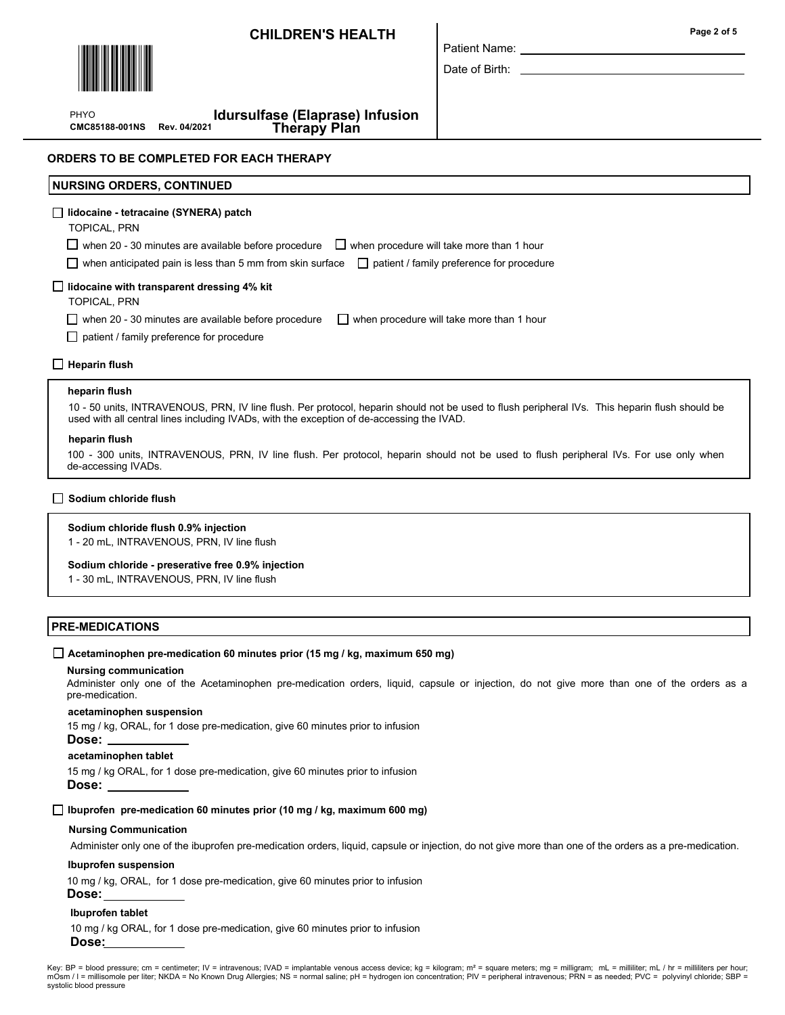

Patient Name:

Date of Birth:

CMC85188-001NS Rev. 04/2021 PHYO

Idursulfase (Elaprase) Infusion Therapy Plan

## ORDERS TO BE COMPLETED FOR EACH THERAPY

# NURSING ORDERS, CONTINUED lidocaine - tetracaine (SYNERA) patch TOPICAL, PRN  $\Box$  when 20 - 30 minutes are available before procedure  $\Box$  when procedure will take more than 1 hour when anticipated pain is less than 5 mm from skin surface  $\Box$  patient / family preference for procedure  $\Box$  lidocaine with transparent dressing 4% kit TOPICAL, PRN when 20 - 30 minutes are available before procedure  $\Box$  when procedure will take more than 1 hour □ patient / family preference for procedure  $\Box$  Heparin flush

#### heparin flush

10 - 50 units, INTRAVENOUS, PRN, IV line flush. Per protocol, heparin should not be used to flush peripheral IVs. This heparin flush should be used with all central lines including IVADs, with the exception of de-accessing the IVAD.

#### heparin flush

100 - 300 units, INTRAVENOUS, PRN, IV line flush. Per protocol, heparin should not be used to flush peripheral IVs. For use only when de-accessing IVADs.

### $\Box$  Sodium chloride flush

#### Sodium chloride flush 0.9% injection

1 - 20 mL, INTRAVENOUS, PRN, IV line flush

#### Sodium chloride - preserative free 0.9% injection

1 - 30 mL, INTRAVENOUS, PRN, IV line flush

### PRE-MEDICATIONS

## $\Box$  Acetaminophen pre-medication 60 minutes prior (15 mg / kg, maximum 650 mg)

#### Nursing communication

Administer only one of the Acetaminophen pre-medication orders, liquid, capsule or injection, do not give more than one of the orders as a pre-medication.

#### acetaminophen suspension

15 mg / kg, ORAL, for 1 dose pre-medication, give 60 minutes prior to infusion

# Dose:

## acetaminophen tablet

15 mg / kg ORAL, for 1 dose pre-medication, give 60 minutes prior to infusion Dose:

 $\Box$  Ibuprofen pre-medication 60 minutes prior (10 mg / kg, maximum 600 mg)

## Nursing Communication

Administer only one of the ibuprofen pre-medication orders, liquid, capsule or injection, do not give more than one of the orders as a pre-medication.

## Ibuprofen suspension

10 mg / kg, ORAL, for 1 dose pre-medication, give 60 minutes prior to infusion

### Dose:

## Ibuprofen tablet

10 mg / kg ORAL, for 1 dose pre-medication, give 60 minutes prior to infusion Dose:

Key: BP = blood pressure; cm = centimeter; IV = intravenous; IVAD = implantable venous access device; kg = kilogram; m<sup>2</sup> = square meters; mg = milligram; mL = milliliter; mL / hr = milliliters per hour; mOsm / I = millisomole per liter; NKDA = No Known Drug Allergies; NS = normal saline; pH = hydrogen ion concentration; PIV = peripheral intravenous; PRN = as needed; PVC = polyvinyl chloride; SBP = systolic blood pressure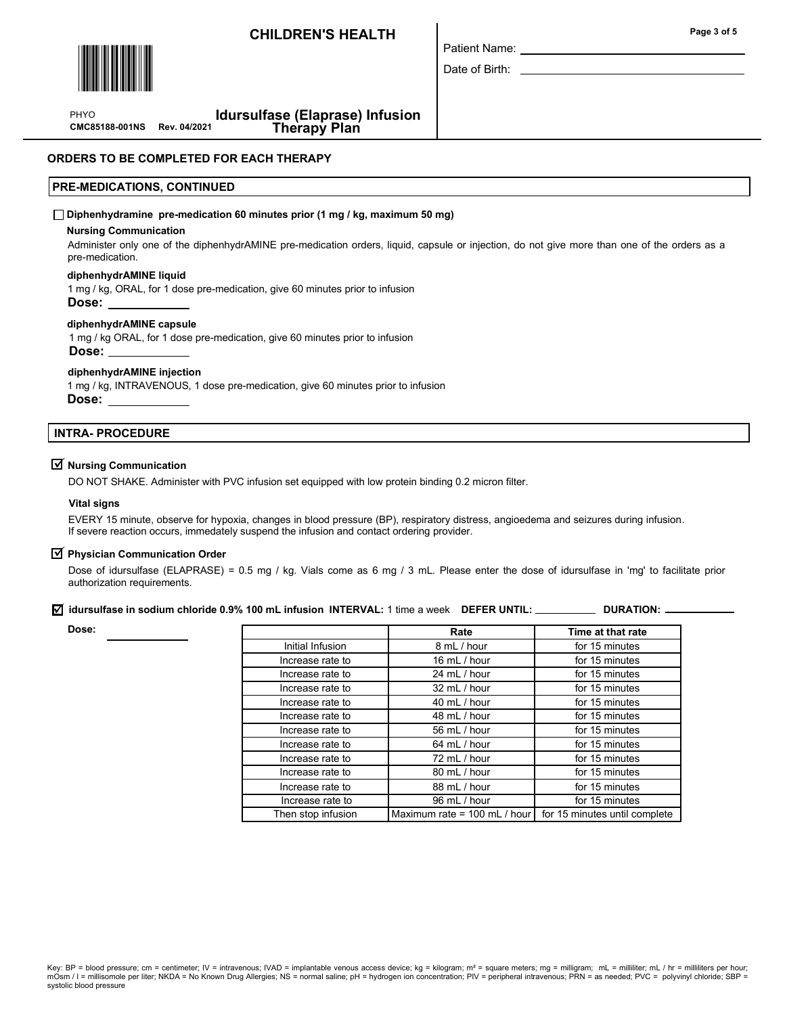

Patient Name:

Date of Birth:

PHYO

 Idursulfase (Elaprase) Infusion CMC85188-001NS Rev. 04/2021 Therapy Plan

## ORDERS TO BE COMPLETED FOR EACH THERAPY

## PRE-MEDICATIONS, CONTINUED

#### $\Box$  Diphenhydramine pre-medication 60 minutes prior (1 mg / kg, maximum 50 mg)

#### Nursing Communication

Administer only one of the diphenhydrAMINE pre-medication orders, liquid, capsule or injection, do not give more than one of the orders as a pre-medication.

#### diphenhydrAMINE liquid

1 mg / kg, ORAL, for 1 dose pre-medication, give 60 minutes prior to infusion Dose:

#### diphenhydrAMINE capsule

1 mg / kg ORAL, for 1 dose pre-medication, give 60 minutes prior to infusion Dose:

#### diphenhydrAMINE injection

1 mg / kg, INTRAVENOUS, 1 dose pre-medication, give 60 minutes prior to infusion Dose:

#### INTRA- PROCEDURE

## $\overline{\mathcal{Y}}$  Nursing Communication

DO NOT SHAKE. Administer with PVC infusion set equipped with low protein binding 0.2 micron filter.

#### Vital signs

EVERY 15 minute, observe for hypoxia, changes in blood pressure (BP), respiratory distress, angioedema and seizures during infusion. If severe reaction occurs, immedately suspend the infusion and contact ordering provider.

## $\overrightarrow{\mathbf{y}}$  Physician Communication Order

Dose of idursulfase (ELAPRASE) = 0.5 mg / kg. Vials come as 6 mg / 3 mL. Please enter the dose of idursulfase in 'mg' to facilitate prior authorization requirements.

## $\vec{\theta}$  idursulfase in sodium chloride 0.9% 100 mL infusion INTERVAL: 1 time a week DEFER UNTIL: \_\_\_\_\_\_\_\_\_\_\_ DURATION:

Dose:

|                    | Rate                         | Time at that rate             |
|--------------------|------------------------------|-------------------------------|
| Initial Infusion   | 8 mL / hour                  | for 15 minutes                |
| Increase rate to   | 16 $mL / hour$               | for 15 minutes                |
| Increase rate to   | 24 mL / hour                 | for 15 minutes                |
| Increase rate to   | 32 mL / hour                 | for 15 minutes                |
| Increase rate to   | 40 mL / hour                 | for 15 minutes                |
| Increase rate to   | 48 mL / hour                 | for 15 minutes                |
| Increase rate to   | 56 mL / hour                 | for 15 minutes                |
| Increase rate to   | 64 mL / hour                 | for 15 minutes                |
| Increase rate to   | 72 mL / hour                 | for 15 minutes                |
| Increase rate to   | 80 mL / hour                 | for 15 minutes                |
| Increase rate to   | 88 mL / hour                 | for 15 minutes                |
| Increase rate to   | 96 mL / hour                 | for 15 minutes                |
| Then stop infusion | Maximum rate = 100 mL / hour | for 15 minutes until complete |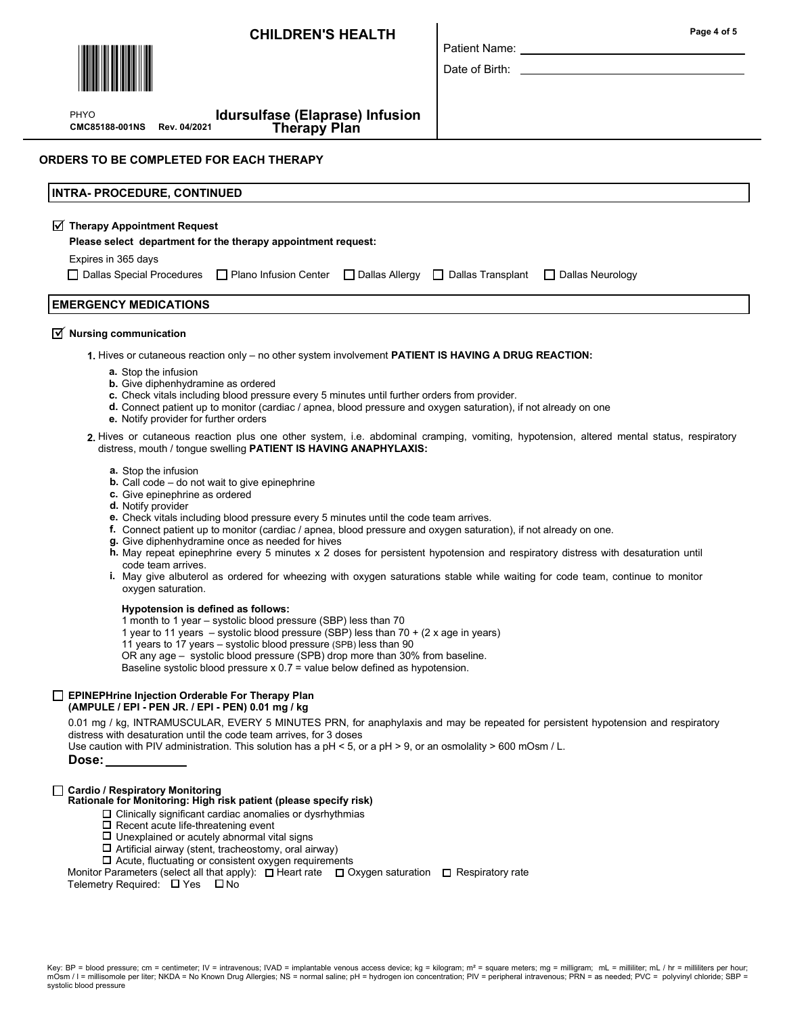

PHYO

CMC85188-001NS Rev. 04/2021

Idursulfase (Elaprase) Infusion

## ORDERS TO BE COMPLETED FOR EACH THERAPY

| <b>INTRA- PROCEDURE, CONTINUED</b>                                                                                                                                                                                                                                                                                            |
|-------------------------------------------------------------------------------------------------------------------------------------------------------------------------------------------------------------------------------------------------------------------------------------------------------------------------------|
| $\sqrt{ }$ Therapy Appointment Request<br>Please select department for the therapy appointment request:<br>Expires in 365 days<br>□ Dallas Special Procedures □ Plano Infusion Center □ Dallas Allergy □ Dallas Transplant<br>$\Box$ Dallas Neurology                                                                         |
| <b>EMERGENCY MEDICATIONS</b>                                                                                                                                                                                                                                                                                                  |
| $\sqrt{ }$ Nursing communication                                                                                                                                                                                                                                                                                              |
| 1. Hives or cutaneous reaction only – no other system involvement <b>PATIENT IS HAVING A DRUG REACTION:</b>                                                                                                                                                                                                                   |
| a. Stop the infusion<br><b>b.</b> Give diphenhydramine as ordered<br>c. Check vitals including blood pressure every 5 minutes until further orders from provider.<br>d. Connect patient up to monitor (cardiac / apnea, blood pressure and oxygen saturation), if not already on one<br>e. Notify provider for further orders |
| 2. Hives or cutaneous reaction plus one other system, i.e. abdominal cramping, vomiting, hypotension, altered mental status, respiratory<br>distress, mouth / tongue swelling <b>PATIENT IS HAVING ANAPHYLAXIS:</b>                                                                                                           |
| <b>a.</b> Stop the infusion<br><b>b.</b> Call code $-$ do not wait to give epinephrine                                                                                                                                                                                                                                        |

Patient Name: Date of Birth:

- c. Give epinephrine as ordered
- d. Notify provider
- e. Check vitals including blood pressure every 5 minutes until the code team arrives.
- f. Connect patient up to monitor (cardiac / apnea, blood pressure and oxygen saturation), if not already on one.
- g. Give diphenhydramine once as needed for hives
- h. May repeat epinephrine every 5 minutes x 2 doses for persistent hypotension and respiratory distress with desaturation until code team arrives.
- May give albuterol as ordered for wheezing with oxygen saturations stable while waiting for code team, continue to monitor i. oxygen saturation.

#### Hypotension is defined as follows:

- 1 month to 1 year systolic blood pressure (SBP) less than 70
- 1 year to 11 years systolic blood pressure (SBP) less than  $70 + (2 \times a$ ge in years)
- 11 years to 17 years systolic blood pressure (SPB) less than 90

OR any age – systolic blood pressure (SPB) drop more than 30% from baseline.

Baseline systolic blood pressure x 0.7 = value below defined as hypotension.

#### EPINEPHrine Injection Orderable For Therapy Plan (AMPULE / EPI - PEN JR. / EPI - PEN) 0.01 mg / kg

0.01 mg / kg, INTRAMUSCULAR, EVERY 5 MINUTES PRN, for anaphylaxis and may be repeated for persistent hypotension and respiratory distress with desaturation until the code team arrives, for 3 doses

Use caution with PIV administration. This solution has a pH < 5, or a pH > 9, or an osmolality > 600 mOsm / L.

Dose:

#### Cardio / Respiratory Monitoring

Rationale for Monitoring: High risk patient (please specify risk)

- $\Box$  Clinically significant cardiac anomalies or dysrhythmias
- $\square$  Recent acute life-threatening event
- $\square$  Unexplained or acutely abnormal vital signs
- $\Box$  Artificial airway (stent, tracheostomy, oral airway)
- $\square$  Acute, fluctuating or consistent oxygen requirements

Monitor Parameters (select all that apply): [ Heart rate I Oxygen saturation I Respiratory rate

Telemetry Required:  $\Box$  Yes  $\Box$  No